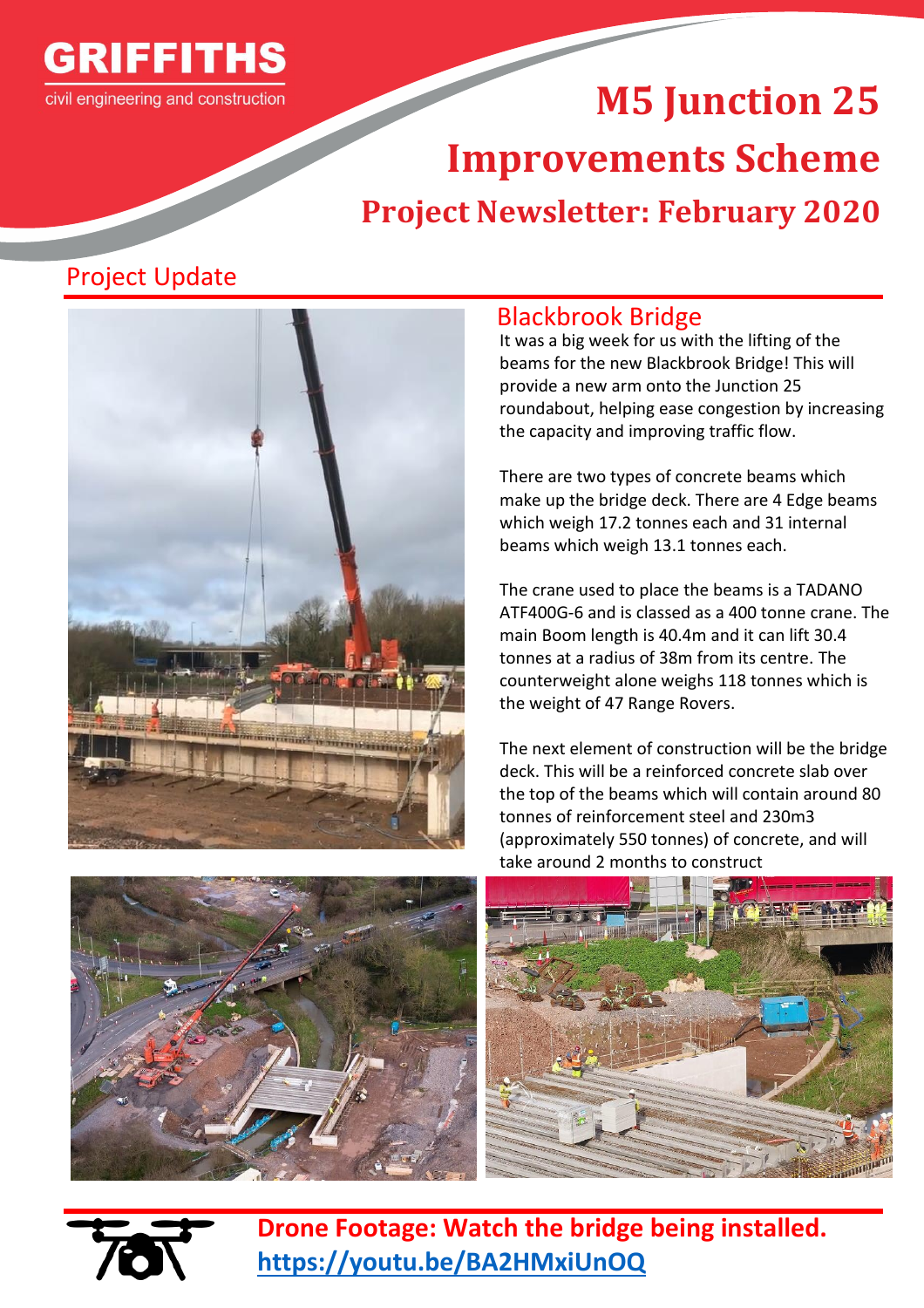

# **M5 Junction 25 Improvements Scheme Project Newsletter: February 2020**

# Project Update



#### Blackbrook Bridge

It was a big week for us with the lifting of the beams for the new Blackbrook Bridge! This will provide a new arm onto the Junction 25 roundabout, helping ease congestion by increasing the capacity and improving traffic flow.

There are two types of concrete beams which make up the bridge deck. There are 4 Edge beams which weigh 17.2 tonnes each and 31 internal beams which weigh 13.1 tonnes each.

The crane used to place the beams is a TADANO ATF400G-6 and is classed as a 400 tonne crane. The main Boom length is 40.4m and it can lift 30.4 tonnes at a radius of 38m from its centre. The counterweight alone weighs 118 tonnes which is the weight of 47 Range Rovers.

The next element of construction will be the bridge deck. This will be a reinforced concrete slab over the top of the beams which will contain around 80 tonnes of reinforcement steel and 230m3 (approximately 550 tonnes) of concrete, and will take around 2 months to construct







**Drone Footage: Watch the bridge being installed. <https://youtu.be/BA2HMxiUnOQ>**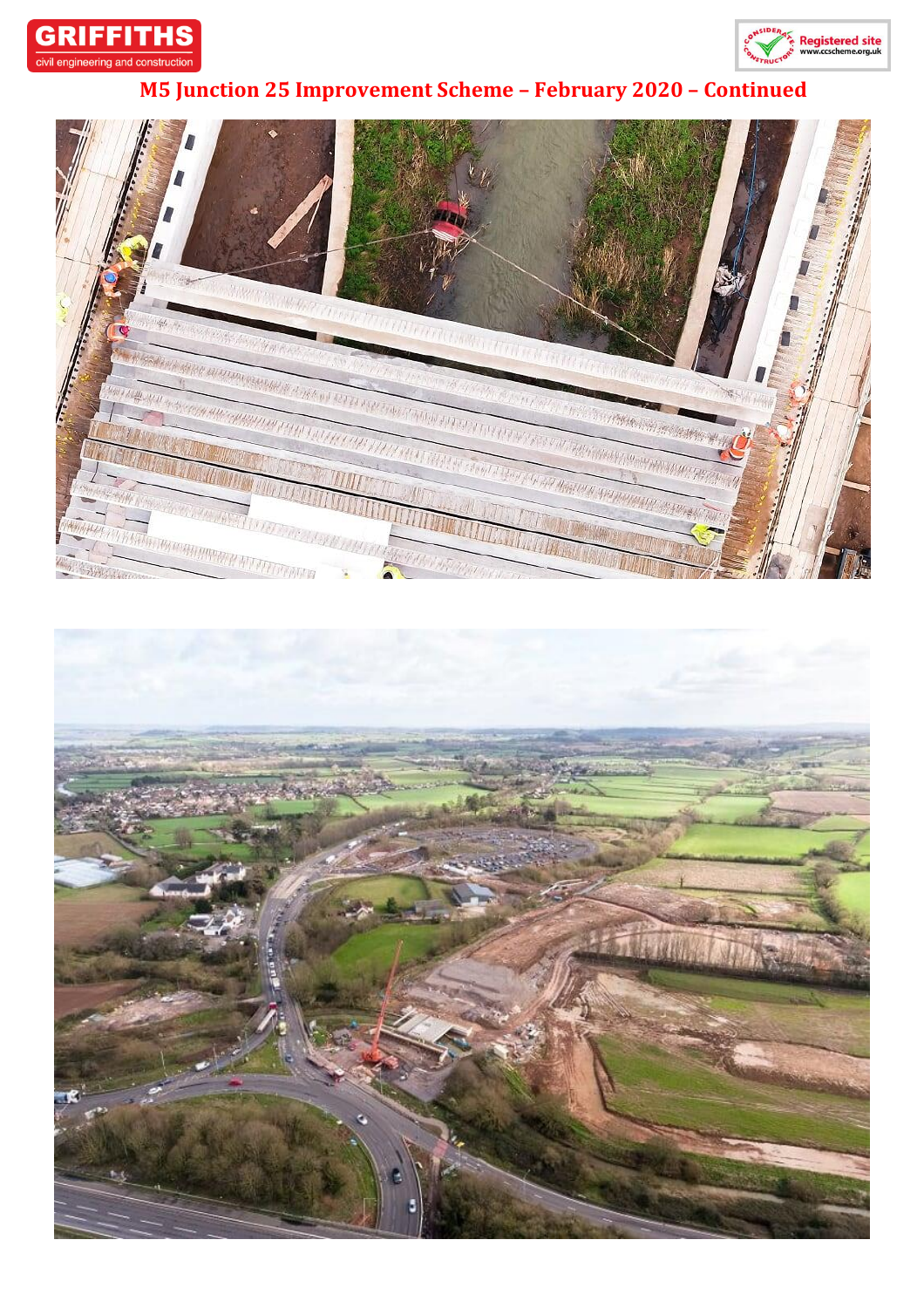



## **M5 Junction 25 Improvement Scheme – February 2020 – Continued**